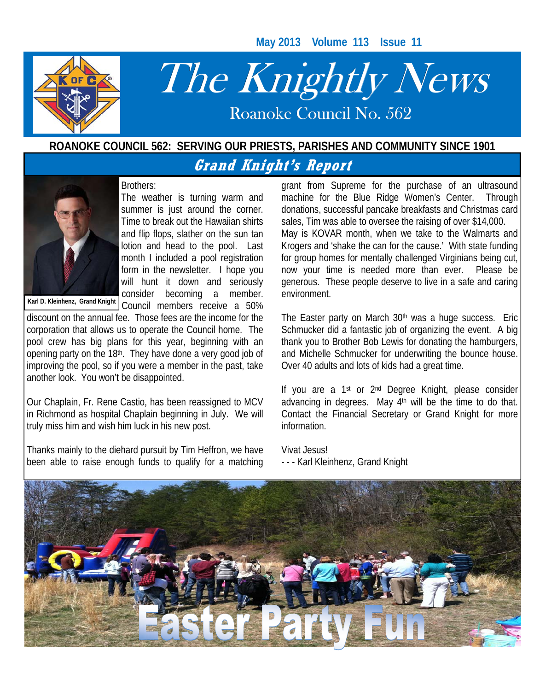**May 2013 Volume 113 Issue 11** 



# The Knightly News

Roanoke Council No. 562 Roanoke Council No. 562

### **ROANOKE COUNCIL 562: SERVING OUR PRIESTS, PARISHES AND COMMUNITY SINCE 1901**

# **Grand Knight's Report**

### Brothers:



The weather is turning warm and summer is just around the corner. Time to break out the Hawaiian shirts and flip flops, slather on the sun tan lotion and head to the pool. Last month I included a pool registration form in the newsletter. I hope you will hunt it down and seriously consider becoming a member. Council members receive a 50%

**Karl D. Kleinhenz, Grand Knight** 

discount on the annual fee. Those fees are the income for the corporation that allows us to operate the Council home. The pool crew has big plans for this year, beginning with an opening party on the 18th. They have done a very good job of improving the pool, so if you were a member in the past, take another look. You won't be disappointed.

Our Chaplain, Fr. Rene Castio, has been reassigned to MCV in Richmond as hospital Chaplain beginning in July. We will truly miss him and wish him luck in his new post.

Thanks mainly to the diehard pursuit by Tim Heffron, we have been able to raise enough funds to qualify for a matching

grant from Supreme for the purchase of an ultrasound machine for the Blue Ridge Women's Center. Through donations, successful pancake breakfasts and Christmas card sales, Tim was able to oversee the raising of over \$14,000. May is KOVAR month, when we take to the Walmarts and Krogers and 'shake the can for the cause.' With state funding for group homes for mentally challenged Virginians being cut, now your time is needed more than ever. Please be generous. These people deserve to live in a safe and caring environment.

The Easter party on March 30<sup>th</sup> was a huge success. Eric Schmucker did a fantastic job of organizing the event. A big thank you to Brother Bob Lewis for donating the hamburgers, and Michelle Schmucker for underwriting the bounce house. Over 40 adults and lots of kids had a great time.

If you are a 1<sup>st</sup> or 2<sup>nd</sup> Degree Knight, please consider advancing in degrees. May  $4<sup>th</sup>$  will be the time to do that. Contact the Financial Secretary or Grand Knight for more information.

Vivat Jesus! - - - Karl Kleinhenz, Grand Knight

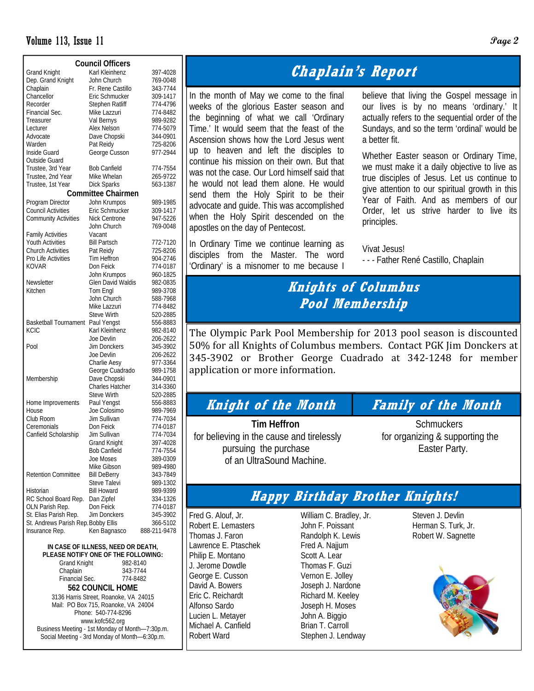### Volume 113, Issue 11 **Page 2**

| <b>Council Officers</b>             |                           |              |  |  |  |  |  |
|-------------------------------------|---------------------------|--------------|--|--|--|--|--|
| <b>Grand Knight</b>                 | Karl Kleinhenz            | 397-4028     |  |  |  |  |  |
| Dep. Grand Knight                   | John Church               | 769-0048     |  |  |  |  |  |
| Chaplain                            | Fr. Rene Castillo         | 343-7744     |  |  |  |  |  |
| Chancellor                          | Eric Schmucker            | 309-1417     |  |  |  |  |  |
| Recorder                            | Stephen Ratliff           | 774-4796     |  |  |  |  |  |
| Financial Sec.                      | Mike Lazzuri              | 774-8482     |  |  |  |  |  |
| Treasurer                           | Val Bernys                | 989-9282     |  |  |  |  |  |
| Lecturer                            | Alex Nelson               | 774-5079     |  |  |  |  |  |
| Advocate                            | Dave Chopski              | 344-0901     |  |  |  |  |  |
| Warden                              | Pat Reidy                 | 725-8206     |  |  |  |  |  |
| Inside Guard                        | George Cusson             | 977-2944     |  |  |  |  |  |
| Outside Guard                       |                           |              |  |  |  |  |  |
| Trustee, 3rd Year                   | <b>Bob Canfield</b>       | 774-7554     |  |  |  |  |  |
| Trustee, 2nd Year                   | Mike Whelan               | 265-9722     |  |  |  |  |  |
| Trustee, 1st Year                   | <b>Dick Sparks</b>        | 563-1387     |  |  |  |  |  |
|                                     |                           |              |  |  |  |  |  |
|                                     | <b>Committee Chairmen</b> |              |  |  |  |  |  |
| Program Director                    | John Krumpos              | 989-1985     |  |  |  |  |  |
| <b>Council Activities</b>           | Eric Schmucker            | 309-1417     |  |  |  |  |  |
| <b>Community Activities</b>         | Nick Centrone             | 947-5226     |  |  |  |  |  |
|                                     | John Church               | 769-0048     |  |  |  |  |  |
| <b>Family Activities</b>            | Vacant                    |              |  |  |  |  |  |
| <b>Youth Activities</b>             | <b>Bill Partsch</b>       | 772-7120     |  |  |  |  |  |
| Church Activities                   | Pat Reidy                 | 725-8206     |  |  |  |  |  |
| Pro Life Activities                 | Tim Heffron               | 904-2746     |  |  |  |  |  |
| <b>KOVAR</b>                        | Don Feick                 | 774-0187     |  |  |  |  |  |
|                                     | John Krumpos              | 960-1825     |  |  |  |  |  |
| Newsletter                          | Glen David Waldis         | 982-0835     |  |  |  |  |  |
| Kitchen                             | Tom Engl                  | 989-3708     |  |  |  |  |  |
|                                     | John Church               | 588-7968     |  |  |  |  |  |
|                                     | Mike Lazzuri              | 774-8482     |  |  |  |  |  |
|                                     | <b>Steve Wirth</b>        | 520-2885     |  |  |  |  |  |
| <b>Basketball Tournament</b>        | Paul Yengst               | 556-8883     |  |  |  |  |  |
| KCIC                                | Karl Kleinhenz            | 982-8140     |  |  |  |  |  |
|                                     | Joe Devlin                | 206-2622     |  |  |  |  |  |
| Pool                                | Jim Donckers              | 345-3902     |  |  |  |  |  |
|                                     | Joe Devlin                | 206-2622     |  |  |  |  |  |
|                                     | Charlie Aesy              | 977-3364     |  |  |  |  |  |
|                                     | George Cuadrado           | 989-1758     |  |  |  |  |  |
| Membership                          | Dave Chopski              | 344-0901     |  |  |  |  |  |
|                                     | <b>Charles Hatcher</b>    | 314-3360     |  |  |  |  |  |
|                                     | <b>Steve Wirth</b>        | 520-2885     |  |  |  |  |  |
| Home Improvements                   | Paul Yengst               | 556-8883     |  |  |  |  |  |
| House                               | Joe Colosimo              | 989-7969     |  |  |  |  |  |
| Club Room                           | Jim Sullivan              | 774-7034     |  |  |  |  |  |
| Ceremonials                         | Don Feick                 | 774-0187     |  |  |  |  |  |
| Canfield Scholarship                | Jim Sullivan              | 774-7034     |  |  |  |  |  |
|                                     | <b>Grand Knight</b>       | 397-4028     |  |  |  |  |  |
|                                     | <b>Bob Canfield</b>       | 774-7554     |  |  |  |  |  |
|                                     | Joe Moses                 | 389-0309     |  |  |  |  |  |
|                                     | Mike Gibson               | 989-4980     |  |  |  |  |  |
| <b>Retention Committee</b>          | <b>Bill DeBerry</b>       | 343-7849     |  |  |  |  |  |
|                                     | Steve Talevi              | 989-1302     |  |  |  |  |  |
| Historian                           | <b>Bill Howard</b>        | 989-9399     |  |  |  |  |  |
| RC School Board Rep.                | Dan Zipfel                | 334-1326     |  |  |  |  |  |
| OLN Parish Rep.                     | Don Feick                 | 774-0187     |  |  |  |  |  |
| St. Elias Parish Rep.               | Jim Donckers              | 345-3902     |  |  |  |  |  |
| St. Andrews Parish Rep. Bobby Ellis |                           | 366-5102     |  |  |  |  |  |
| Insurance Rep.                      | Ken Bagnasco              | 888-211-9478 |  |  |  |  |  |
|                                     |                           |              |  |  |  |  |  |

**IN CASE OF ILLNESS, NEED OR DEATH, PLEASE NOTIFY ONE OF THE FOLLOWING:**  Grand Knight 982-8140 Chaplain 343-7744<br>Financial Sec. 774-8482 Financial Sec. **562 COUNCIL HOME**  3136 Harris Street, Roanoke, VA 24015 Mail: PO Box 715, Roanoke, VA 24004 Phone: 540-774-8296 www.kofc562.org Business Meeting - 1st Monday of Month—7:30p.m. Social Meeting - 3rd Monday of Month—6:30p.m.

# **Chaplain's Report**

In the month of May we come to the final weeks of the glorious Easter season and the beginning of what we call 'Ordinary Time.' It would seem that the feast of the Ascension shows how the Lord Jesus went up to heaven and left the disciples to continue his mission on their own. But that was not the case. Our Lord himself said that he would not lead them alone. He would send them the Holy Spirit to be their advocate and guide. This was accomplished when the Holy Spirit descended on the apostles on the day of Pentecost.

In Ordinary Time we continue learning as disciples from the Master. The word 'Ordinary' is a misnomer to me because I

believe that living the Gospel message in our lives is by no means 'ordinary.' It actually refers to the sequential order of the Sundays, and so the term 'ordinal' would be a better fit.

Whether Easter season or Ordinary Time, we must make it a daily objective to live as true disciples of Jesus. Let us continue to give attention to our spiritual growth in this Year of Faith. And as members of our Order, let us strive harder to live its principles.

Vivat Jesus! - - - Father René Castillo, Chaplain

# **Knights of Columbus Pool Membership**

The Olympic Park Pool Membership for 2013 pool season is discounted 50% for all Knights of Columbus members. Contact PGK Jim Donckers at 345‐3902 or Brother George Cuadrado at 342‐1248 for member application or more information.

### **Knight of the Month Family of the Month**

for believing in the cause and tirelessly for organizing & supporting the pursuing the purchase Easter Party. of an UltraSound Machine.

**Tim Heffron Schmuckers** 

## **Happy Birthday Brother Knights!**

Fred G. Alouf, Jr. Robert E. Lemasters Thomas J. Faron Lawrence E. Ptaschek Philip E. Montano J. Jerome Dowdle George E. Cusson David A. Bowers Eric C. Reichardt Alfonso Sardo Lucien L. Metayer Michael A. Canfield Robert Ward

William C. Bradley, Jr. John F. Poissant Randolph K. Lewis Fred A. Najjum Scott A. Lear Thomas F. Guzi Vernon E. Jolley Joseph J. Nardone Richard M. Keeley Joseph H. Moses John A. Biggio Brian T. Carroll Stephen J. Lendway

Steven J. Devlin Herman S. Turk, Jr. Robert W. Sagnette

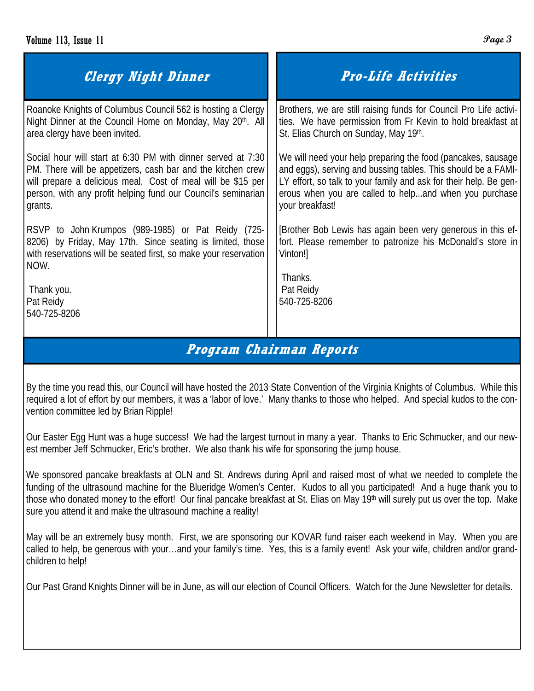| <b>Clergy Night Dinner</b>                                       | <b>Pro-Life Activities</b>                                                  |
|------------------------------------------------------------------|-----------------------------------------------------------------------------|
| Roanoke Knights of Columbus Council 562 is hosting a Clergy      | Brothers, we are still raising funds for Council Pro Life activi-           |
| Night Dinner at the Council Home on Monday, May 20th. All        | ties. We have permission from Fr Kevin to hold breakfast at                 |
| area clergy have been invited.                                   | St. Elias Church on Sunday, May 19th.                                       |
| Social hour will start at 6:30 PM with dinner served at 7:30     | We will need your help preparing the food (pancakes, sausage                |
| PM. There will be appetizers, cash bar and the kitchen crew      | and eggs), serving and bussing tables. This should be a FAMI-               |
| will prepare a delicious meal. Cost of meal will be \$15 per     | LY effort, so talk to your family and ask for their help. Be gen-           |
| person, with any profit helping fund our Council's seminarian    | erous when you are called to helpand when you purchase                      |
| grants.                                                          | your breakfast!                                                             |
| RSVP to John Krumpos (989-1985) or Pat Reidy (725-               | [Brother Bob Lewis has again been very generous in this ef-                 |
| 8206) by Friday, May 17th. Since seating is limited, those       | fort. Please remember to patronize his McDonald's store in                  |
| with reservations will be seated first, so make your reservation | Vinton!]                                                                    |
| NOW.                                                             | Thanks.                                                                     |
| Thank you.                                                       | Pat Reidy                                                                   |
| Pat Reidy                                                        | 540-725-8206                                                                |
| 540-725-8206                                                     | $D_{\text{max}}$ and $D_{\text{max}}$ $D_{\text{max}}$ and $D_{\text{max}}$ |

## **Program Chairman Reports**

By the time you read this, our Council will have hosted the 2013 State Convention of the Virginia Knights of Columbus. While this required a lot of effort by our members, it was a 'labor of love.' Many thanks to those who helped. And special kudos to the convention committee led by Brian Ripple!

Our Easter Egg Hunt was a huge success! We had the largest turnout in many a year. Thanks to Eric Schmucker, and our newest member Jeff Schmucker, Eric's brother. We also thank his wife for sponsoring the jump house.

We sponsored pancake breakfasts at OLN and St. Andrews during April and raised most of what we needed to complete the funding of the ultrasound machine for the Blueridge Women's Center. Kudos to all you participated! And a huge thank you to those who donated money to the effort! Our final pancake breakfast at St. Elias on May 19<sup>th</sup> will surely put us over the top. Make sure you attend it and make the ultrasound machine a reality!

May will be an extremely busy month. First, we are sponsoring our KOVAR fund raiser each weekend in May. When you are called to help, be generous with your…and your family's time. Yes, this is a family event! Ask your wife, children and/or grandchildren to help!

Our Past Grand Knights Dinner will be in June, as will our election of Council Officers. Watch for the June Newsletter for details.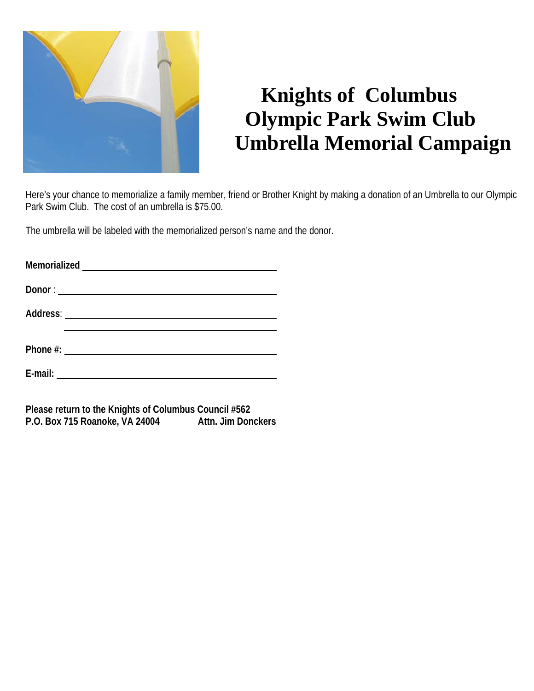

# **Knights of Columbus Olympic Park Swim Club Umbrella Memorial Campaign**

Here's your chance to memorialize a family member, friend or Brother Knight by making a donation of an Umbrella to our Olympic Park Swim Club. The cost of an umbrella is \$75.00.

The umbrella will be labeled with the memorialized person's name and the donor.

| Memorialized |                                                                                                                      |  |
|--------------|----------------------------------------------------------------------------------------------------------------------|--|
|              |                                                                                                                      |  |
|              |                                                                                                                      |  |
| Phone #:     | <u> 1980 - Jan Jawa Barat, prima prima prima prima prima prima prima prima prima prima prima prima prima prima p</u> |  |

**E-mail:**

**Please return to the Knights of Columbus Council #562 P.O. Box 715 Roanoke, VA 24004 Attn. Jim Donckers**